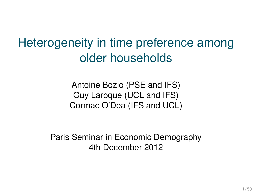Heterogeneity in time preference among older households

> Antoine Bozio (PSE and IFS) Guy Laroque (UCL and IFS) Cormac O'Dea (IFS and UCL)

Paris Seminar in Economic Demography 4th December 2012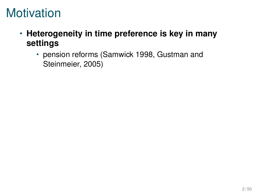### **Motivation**

- **Heterogeneity in time preference is key in many settings**
	- pension reforms (Samwick 1998, Gustman and Steinmeier, 2005)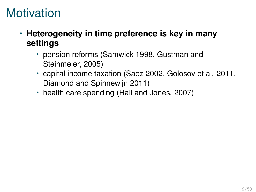### **Motivation**

- **Heterogeneity in time preference is key in many settings**
	- pension reforms (Samwick 1998, Gustman and Steinmeier, 2005)
	- capital income taxation (Saez 2002, Golosov et al. 2011, Diamond and Spinnewijn 2011)
	- health care spending (Hall and Jones, 2007)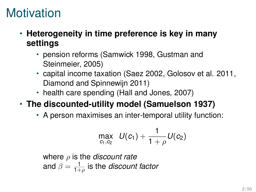#### **Motivation**

- **Heterogeneity in time preference is key in many settings**
	- pension reforms (Samwick 1998, Gustman and Steinmeier, 2005)
	- capital income taxation (Saez 2002, Golosov et al. 2011, Diamond and Spinnewijn 2011)
	- health care spending (Hall and Jones, 2007)

#### • **The discounted-utility model (Samuelson 1937)**

• A person maximises an inter-temporal utility function:

$$
\max_{c_1, c_2} U(c_1) + \frac{1}{1+\rho} U(c_2)
$$

where ρ is the *discount rate* and  $\beta=\frac{1}{1+\rho}$  is the *discount factor*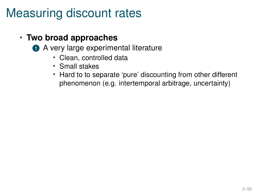### Measuring discount rates

- **Two broad approaches**
	- 1 A very large experimental literature
		- Clean, controlled data
		- Small stakes
		- Hard to to separate 'pure' discounting from other different phenomenon (e.g. intertemporal arbitrage, uncertainty)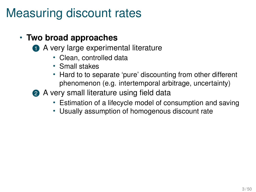## Measuring discount rates

#### • **Two broad approaches**

- 1 A very large experimental literature
	- Clean, controlled data
	- Small stakes
	- Hard to to separate 'pure' discounting from other different phenomenon (e.g. intertemporal arbitrage, uncertainty)
- **2** A very small literature using field data
	- Estimation of a lifecycle model of consumption and saving
	- Usually assumption of homogenous discount rate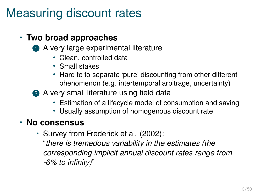## Measuring discount rates

#### • **Two broad approaches**

- 1 A very large experimental literature
	- Clean, controlled data
	- Small stakes
	- Hard to to separate 'pure' discounting from other different phenomenon (e.g. intertemporal arbitrage, uncertainty)

**2** A very small literature using field data

- Estimation of a lifecycle model of consumption and saving
- Usually assumption of homogenous discount rate

#### • **No consensus**

• Survey from Frederick et al. (2002): "*there is tremedous variability in the estimates (the corresponding implicit annual discount rates range from -6% to infinity)*"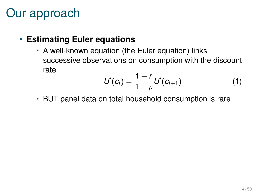### Our approach

• **Estimating Euler equations**

• A well-known equation (the Euler equation) links successive observations on consumption with the discount rate

$$
U'(c_t) = \frac{1+r}{1+\rho} U'(c_{t+1})
$$
 (1)

• BUT panel data on total household consumption is rare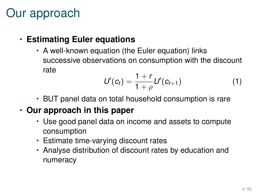## Our approach

#### • **Estimating Euler equations**

• A well-known equation (the Euler equation) links successive observations on consumption with the discount rate

$$
U'(c_t) = \frac{1+r}{1+\rho} U'(c_{t+1})
$$
 (1)

• BUT panel data on total household consumption is rare

#### • **Our approach in this paper**

- Use good panel data on income and assets to compute consumption
- Estimate time-varying discount rates
- Analyse distribution of discount rates by education and numeracy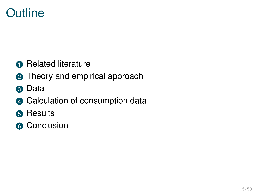# **Outline**

- Related literature
- Theory and empirical approach
- Data
- Calculation of consumption data
- 6 Results
- Conclusion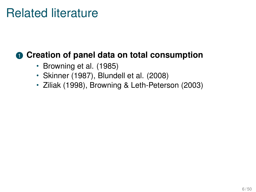#### **1** Creation of panel data on total consumption

- Browning et al. (1985)
- Skinner (1987), Blundell et al. (2008)
- Ziliak (1998), Browning & Leth-Peterson (2003)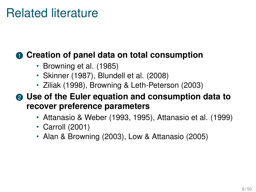#### **1** Creation of panel data on total consumption

- Browning et al. (1985)
- Skinner (1987), Blundell et al. (2008)
- Ziliak (1998), Browning & Leth-Peterson (2003)

<sup>2</sup> **Use of the Euler equation and consumption data to recover preference parameters**

- Attanasio & Weber (1993, 1995), Attanasio et al. (1999)
- Carroll (2001)
- Alan & Browning (2003), Low & Attanasio (2005)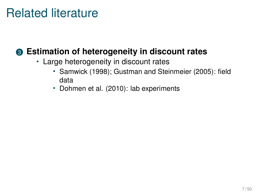#### <sup>3</sup> **Estimation of heterogeneity in discount rates**

- Large heterogeneity in discount rates
	- Samwick (1998); Gustman and Steinmeier (2005): field data
	- Dohmen et al. (2010): lab experiments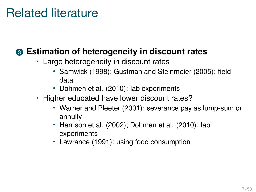#### <sup>3</sup> **Estimation of heterogeneity in discount rates**

- Large heterogeneity in discount rates
	- Samwick (1998); Gustman and Steinmeier (2005): field data
	- Dohmen et al. (2010): lab experiments
- Higher educated have lower discount rates?
	- Warner and Pleeter (2001): severance pay as lump-sum or annuity
	- Harrison et al. (2002); Dohmen et al. (2010): lab experiments
	- Lawrance (1991): using food consumption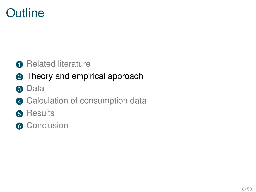# **Outline**

#### Related literature

#### Theory and empirical approach

- Data
- Calculation of consumption data
- Results
- Conclusion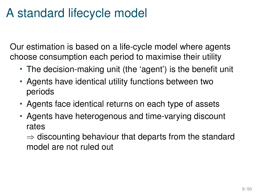### A standard lifecycle model

Our estimation is based on a life-cycle model where agents choose consumption each period to maximise their utility

- The decision-making unit (the 'agent') is the benefit unit
- Agents have identical utility functions between two periods
- Agents face identical returns on each type of assets
- Agents have heterogenous and time-varying discount rates

 $\Rightarrow$  discounting behaviour that departs from the standard model are not ruled out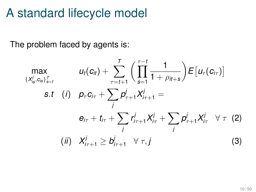#### A standard lifecycle model

The problem faced by agents is:

$$
\max_{\{X_{is}^j, c_{is}\}_{s=t}^T} \qquad u_t(c_{it}) + \sum_{\tau=t+1}^T \left( \prod_{s=1}^{\tau-t} \frac{1}{1+\rho_{it+s}} \right) E[u_\tau(c_{i\tau})]
$$
\n
$$
s.t \quad (i) \quad p_\tau c_{i\tau} + \sum_j p_{\tau+1}^j X_{i\tau+1}^j =
$$
\n
$$
e_{i\tau} + t_{i\tau} + \sum_j r_{i\tau+1}^j X_{i\tau}^j + \sum_j p_{\tau+1}^j X_{i\tau}^j \quad \forall \ \tau \ (2)
$$
\n
$$
(ii) \quad X_{i\tau+1}^j \geq b_{i\tau+1}^j \quad \forall \ \tau, j \tag{3}
$$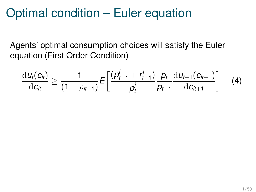# Optimal condition – Euler equation

Agents' optimal consumption choices will satisfy the Euler equation (First Order Condition)

<span id="page-17-0"></span>
$$
\frac{\mathrm{d}u_t(c_{it})}{\mathrm{d}c_{it}} \geq \frac{1}{(1+\rho_{it+1})} E\bigg[\frac{(\rho_{t+1}^j + r_{t+1}^j)}{\rho_t^j} \frac{\rho_t}{\rho_{t+1}} \frac{\mathrm{d}u_{t+1}(c_{it+1})}{\mathrm{d}c_{it+1}}\bigg] \qquad (4)
$$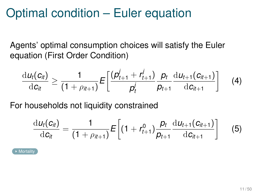# Optimal condition – Euler equation

Agents' optimal consumption choices will satisfy the Euler equation (First Order Condition)

$$
\frac{\mathrm{d}u_t(c_{it})}{\mathrm{d}c_{it}} \geq \frac{1}{(1+\rho_{it+1})} E\bigg[\frac{(\rho_{t+1}^j + r_{t+1}^j)}{\rho_t^j} \frac{\rho_t}{\rho_{t+1}} \frac{\mathrm{d}u_{t+1}(c_{it+1})}{\mathrm{d}c_{it+1}}\bigg] \qquad (4)
$$

For households not liquidity constrained

$$
\frac{\mathrm{d}u_t(c_{it})}{\mathrm{d}c_{it}} = \frac{1}{(1+\rho_{it+1})}E\bigg[(1+r_{t+1}^0)\frac{p_t}{p_{t+1}}\frac{\mathrm{d}u_{t+1}(c_{it+1})}{\mathrm{d}c_{it+1}}\bigg]
$$
(5)

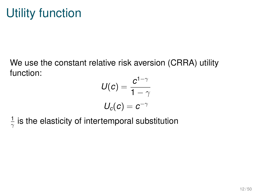We use the constant relative risk aversion (CRRA) utility function:

$$
U(c) = \frac{c^{1-\gamma}}{1-\gamma}
$$

$$
U_c(c) = c^{-\gamma}
$$

1  $\frac{1}{\gamma}$  is the elasticity of intertemporal substitution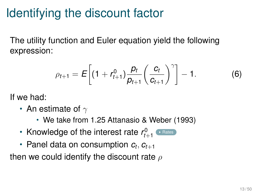# Identifying the discount factor

The utility function and Euler equation yield the following expression:

<span id="page-20-0"></span>
$$
\rho_{t+1} = E\bigg[(1 + r_{t+1}^0)\frac{p_t}{p_{t+1}}\bigg(\frac{c_t}{c_{t+1}}\bigg)^{\gamma}\bigg] - 1. \hspace{1cm} (6)
$$

If we had:

- An estimate of  $\gamma$ 
	- We take from 1.25 Attanasio & Weber (1993)
- Knowledge of the interest rate  $r_{t+1}^0$   $\cdot$   $\stackrel{\text{\tiny\textsf{Rates}}}{\cdot}$  $\stackrel{\text{\tiny\textsf{Rates}}}{\cdot}$  $\stackrel{\text{\tiny\textsf{Rates}}}{\cdot}$
- Panel data on consumption  $c_t, c_{t+1}$

then we could identify the discount rate  $\rho$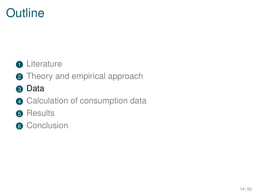# **Outline**

#### **O** Literature

- Theory and empirical approach
- Data
- Calculation of consumption data
- Results
- Conclusion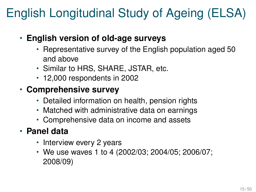# English Longitudinal Study of Ageing (ELSA)

- **English version of old-age surveys**
	- Representative survey of the English population aged 50 and above
	- Similar to HRS, SHARE, JSTAR, etc.
	- 12,000 respondents in 2002

#### • **Comprehensive survey**

- Detailed information on health, pension rights
- Matched with administrative data on earnings
- Comprehensive data on income and assets

#### • **Panel data**

- Interview every 2 years
- We use waves 1 to 4 (2002/03; 2004/05; 2006/07; 2008/09)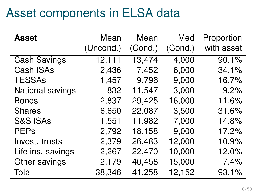## Asset components in ELSA data

| <b>Asset</b>        | Mean      | Mean    | Med     | Proportion |
|---------------------|-----------|---------|---------|------------|
|                     | (Uncond.) | (Cond.) | (Cond.) | with asset |
| <b>Cash Savings</b> | 12,111    | 13,474  | 4,000   | 90.1%      |
| Cash ISAs           | 2,436     | 7,452   | 6,000   | 34.1%      |
| <b>TESSAs</b>       | 1,457     | 9,796   | 9,000   | 16.7%      |
| National savings    | 832       | 11,547  | 3,000   | 9.2%       |
| <b>Bonds</b>        | 2,837     | 29,425  | 16,000  | 11.6%      |
| <b>Shares</b>       | 6,650     | 22,087  | 3,500   | 31.6%      |
| <b>S&amp;S ISAs</b> | 1,551     | 11,982  | 7,000   | 14.8%      |
| <b>PEPs</b>         | 2,792     | 18,158  | 9,000   | 17.2%      |
| Invest. trusts      | 2,379     | 26,483  | 12,000  | 10.9%      |
| Life ins. savings   | 2,267     | 22,470  | 10,000  | 12.0%      |
| Other savings       | 2,179     | 40,458  | 15,000  | 7.4%       |
| Total               | 38,346    | 41,258  | 12,152  | 93.1%      |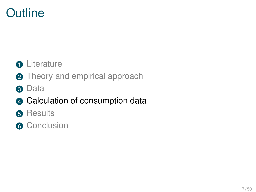# **Outline**

#### **O** Literature

- **2** Theory and empirical approach
- **8** Data

#### 4 Calculation of consumption data

- **6** Results
- **6** Conclusion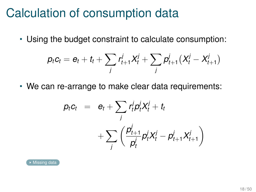• Using the budget constraint to calculate consumption:

$$
p_t c_t = e_t + t_t + \sum_j r_{t+1}^j X_t^j + \sum_j p_{t+1}^j (X_t^j - X_{t+1}^j)
$$

$$
p_t c_t = e_t + \sum_j r_t^j p_t^j X_t^j + t_t
$$
  
+ 
$$
\sum_j \left( \frac{p_{t+1}^j}{p_t^j} p_t^j X_t^j - p_{t+1}^j X_{t+1}^j \right)
$$

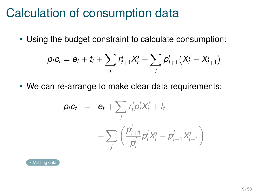• Using the budget constraint to calculate consumption:

$$
p_t c_t = e_t + t_t + \sum_j r_{t+1}^j X_t^j + \sum_j p_{t+1}^j (X_t^j - X_{t+1}^j)
$$

$$
p_t c_t = e_t + \sum_j r_t^j p_t^j X_t^j + t_t
$$
  
+ 
$$
\sum_j \left( \frac{p_{t+1}^j}{p_t^j} p_t^j X_t^j - p_{t+1}^j X_{t+1}^j \right)
$$

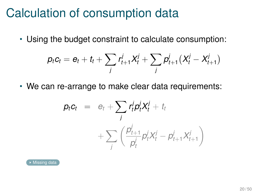• Using the budget constraint to calculate consumption:

$$
p_t c_t = e_t + t_t + \sum_j r_{t+1}^j X_t^j + \sum_j p_{t+1}^j (X_t^j - X_{t+1}^j)
$$

$$
p_t c_t = e_t + \sum_j r_t^j p_t^j X_t^j + t_t
$$
  
+ 
$$
\sum_j \left( \frac{p_{t+1}^j}{p_t^j} p_t^j X_t^j - p_{t+1}^j X_{t+1}^j \right)
$$

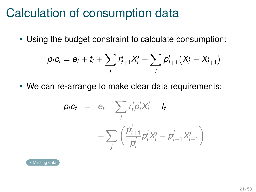• Using the budget constraint to calculate consumption:

$$
p_t c_t = e_t + t_t + \sum_j r_{t+1}^j X_t^j + \sum_j p_{t+1}^j (X_t^j - X_{t+1}^j)
$$

$$
p_t c_t = e_t + \sum_j r_t^j p_t^j X_t^j + t_t
$$
  
+ 
$$
\sum_j \left( \frac{p_{t+1}^j}{p_t^j} p_t^j X_t^j - p_{t+1}^j X_{t+1}^j \right)
$$

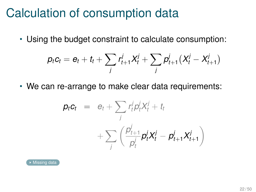• Using the budget constraint to calculate consumption:

$$
p_t c_t = e_t + t_t + \sum_j r_{t+1}^j X_t^j + \sum_j p_{t+1}^j (X_t^j - X_{t+1}^j)
$$

$$
p_t c_t = e_t + \sum_j r_t^j p_t^j X_t^j + t_t
$$
  
+ 
$$
\sum_j \left( \frac{p_{t+1}^j}{p_t^j} p_t^j X_t^j - p_{t+1}^j X_{t+1}^j \right)
$$

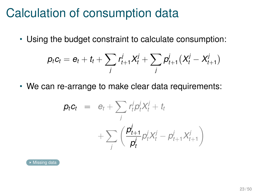<span id="page-30-0"></span>• Using the budget constraint to calculate consumption:

$$
p_t c_t = e_t + t_t + \sum_j r_{t+1}^j X_t^j + \sum_j p_{t+1}^j (X_t^j - X_{t+1}^j)
$$

$$
\begin{array}{rcl} \mathbf{p}_t \mathbf{c}_t & = & e_t + \sum_j r_t^j p_t^j X_t^j + t_t \\ & & + \sum_j \left( \frac{\mathbf{p}_{t+1}^j}{\mathbf{p}_t^j} p_t^j X_t^j - p_{t+1}^j X_{t+1}^j \right) \end{array}
$$

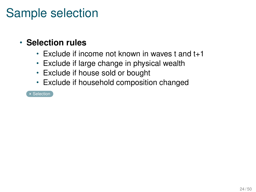## Sample selection

#### • **Selection rules**

- Exclude if income not known in waves t and t+1
- Exclude if large change in physical wealth
- Exclude if house sold or bought
- <span id="page-31-0"></span>• Exclude if household composition changed

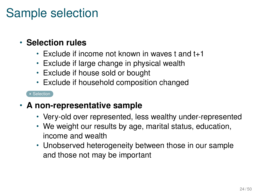### Sample selection

#### • **Selection rules**

- Exclude if income not known in waves t and t+1
- Exclude if large change in physical wealth
- Exclude if house sold or bought
- Exclude if household composition changed

- **A non-representative sample**
	- Very-old over represented, less wealthy under-represented
	- We weight our results by age, marital status, education, income and wealth
	- Unobserved heterogeneity between those in our sample and those not may be important

 $\overline{\triangleright}$  [Selection](#page-51-0)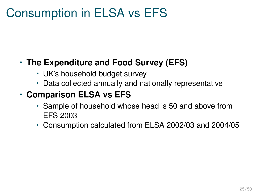## Consumption in ELSA vs EFS

#### • **The Expenditure and Food Survey (EFS)**

- UK's household budget survey
- Data collected annually and nationally representative

#### • **Comparison ELSA vs EFS**

- Sample of household whose head is 50 and above from EFS 2003
- Consumption calculated from ELSA 2002/03 and 2004/05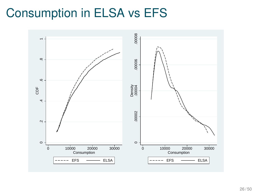# Consumption in ELSA vs EFS

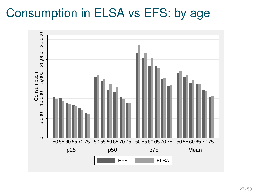### Consumption in ELSA vs EFS: by age

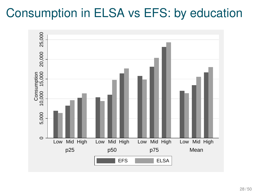### Consumption in ELSA vs EFS: by education

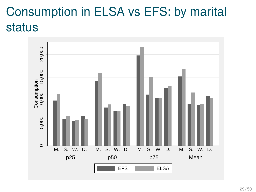# Consumption in ELSA vs EFS: by marital status

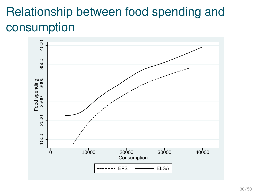# Relationship between food spending and consumption

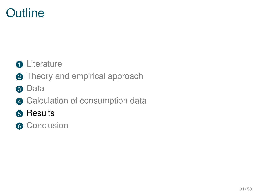# **Outline**

#### **O** Literature

- Theory and empirical approach
- Data
- Calculation of consumption data
- Results
- Conclusion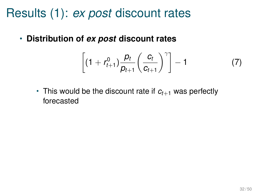# Results (1): *ex post* discount rates

• **Distribution of** *ex post* **discount rates**

$$
\left[ (1 + r_{t+1}^0) \frac{p_t}{p_{t+1}} \left( \frac{c_t}{c_{t+1}} \right)^{\gamma} \right] - 1 \tag{7}
$$

• This would be the discount rate if  $c_{t+1}$  was perfectly forecasted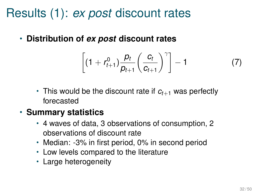# Results (1): *ex post* discount rates

• **Distribution of** *ex post* **discount rates**

$$
\left[ (1 + r_{t+1}^0) \frac{p_t}{p_{t+1}} \left( \frac{c_t}{c_{t+1}} \right)^{\gamma} \right] - 1 \tag{7}
$$

• This would be the discount rate if  $c_{t+1}$  was perfectly forecasted

#### • **Summary statistics**

- 4 waves of data, 3 observations of consumption, 2 observations of discount rate
- Median: -3% in first period, 0% in second period
- Low levels compared to the literature
- Large heterogeneity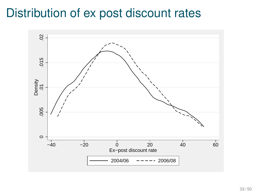### Distribution of ex post discount rates

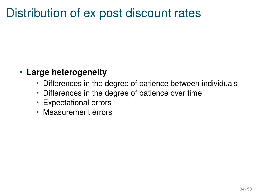### Distribution of ex post discount rates

#### • **Large heterogeneity**

- Differences in the degree of patience between individuals
- Differences in the degree of patience over time
- Expectational errors
- Measurement errors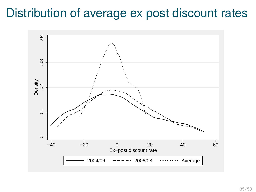### Distribution of average ex post discount rates

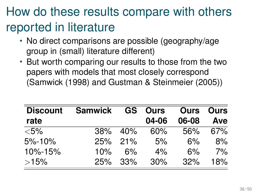# How do these results compare with others reported in literature

- No direct comparisons are possible (geography/age group in (small) literature different)
- But worth comparing our results to those from the two papers with models that most closely correspond (Samwick (1998) and Gustman & Steinmeier (2005))

| <b>Discount</b> | Samwick |                | <b>GS</b> Ours | <b>Ours</b> Ours |     |  |
|-----------------|---------|----------------|----------------|------------------|-----|--|
| rate            |         |                | 04-06          | 06-08            | Ave |  |
| $<$ 5%          | 38%     | 40%            | $60\%$         | 56%              | 67% |  |
| 5%-10%          |         | 25% 21%        | 5%             | 6%               | 8%  |  |
| 10%-15%         | 10%     | 6%             | 4%             | 6%               | 7%  |  |
| >15%            |         | <b>25%</b> 33% | $30\%$         | 32%              | 18% |  |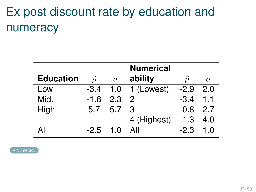# Ex post discount rate by education and numeracy

<span id="page-46-0"></span>

|                  |        |          | <b>Numerical</b> |        |          |
|------------------|--------|----------|------------------|--------|----------|
| <b>Education</b> |        | $\sigma$ | ability          |        | $\sigma$ |
| Low              | $-3.4$ | 1.0      | 1 (Lowest)       | $-2.9$ | 2.0      |
| Mid.             | $-1.8$ | 2.3      | 2                | $-3.4$ | 1.1      |
| High             | 5.7    | 5.7      | 3                | $-0.8$ | 2.7      |
|                  |        |          | 4 (Highest)      | $-1.3$ | 4.0      |
| ΔII              | $-2.5$ | 1.0      | All              | $-2.3$ |          |

**K** [Numeracy](#page-57-0)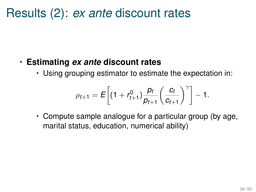#### Results (2): *ex ante* discount rates

#### • **Estimating** *ex ante* **discount rates**

• Using grouping estimator to estimate the expectation in:

$$
\rho_{t+1} = E\bigg[(1 + r_{t+1}^0) \frac{p_t}{p_{t+1}} \bigg(\frac{c_t}{c_{t+1}}\bigg)^{\gamma}\bigg] - 1.
$$

• Compute sample analogue for a particular group (by age, marital status, education, numerical ability)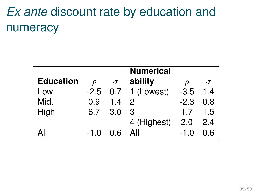# *Ex ante* discount rate by education and numeracy

<span id="page-48-0"></span>

|                  |               |          | <b>Numerical</b>        |               |          |
|------------------|---------------|----------|-------------------------|---------------|----------|
| <b>Education</b> | $\mathcal{D}$ | $\sigma$ | ability                 |               | $\sigma$ |
| Low              | $-2.5$        | 0.7      | $\overline{1}$ (Lowest) | $-3.5$        | 1.4      |
| Mid.             | 0.9           | 1.4      | 2                       | $-2.3$        | 0.8      |
| High             | 6.7           | 3.0      | 3                       | 1.7           | 1.5      |
|                  |               |          | 4 (Highest)             | 2.0           | 2.4      |
| ΑII              | $-1.0$        | 0.6      | All                     | $-1$ $\Omega$ |          |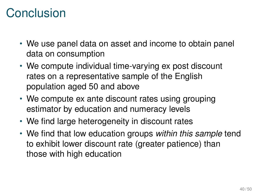# Conclusion

- We use panel data on asset and income to obtain panel data on consumption
- We compute individual time-varying ex post discount rates on a representative sample of the English population aged 50 and above
- We compute ex ante discount rates using grouping estimator by education and numeracy levels
- We find large heterogeneity in discount rates
- We find that low education groups *within this sample* tend to exhibit lower discount rate (greater patience) than those with high education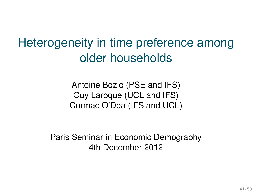Heterogeneity in time preference among older households

> Antoine Bozio (PSE and IFS) Guy Laroque (UCL and IFS) Cormac O'Dea (IFS and UCL)

Paris Seminar in Economic Demography 4th December 2012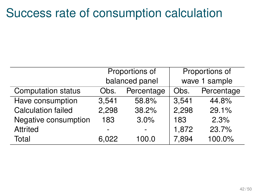#### Success rate of consumption calculation

<span id="page-51-0"></span>

|                           |                    | Proportions of | Proportions of |            |  |
|---------------------------|--------------------|----------------|----------------|------------|--|
|                           |                    | balanced panel | wave 1 sample  |            |  |
| <b>Computation status</b> | Percentage<br>Obs. |                | Obs.           | Percentage |  |
| Have consumption          | 3,541              | 58.8%          | 3,541          | 44.8%      |  |
| <b>Calculation failed</b> | 2,298<br>38.2%     |                | 2,298          | 29.1%      |  |
| Negative consumption      | 183                | 3.0%           | 183            | 2.3%       |  |
| Attrited                  |                    |                | 1,872          | 23.7%      |  |
| Total                     | 6.022              | 100.0          | 7,894          | 100.0%     |  |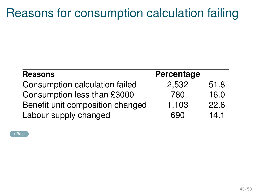# Reasons for consumption calculation failing

| <b>Reasons</b>                   | Percentage |      |
|----------------------------------|------------|------|
| Consumption calculation failed   | 2,532      | 51.8 |
| Consumption less than £3000      | 780        | 16.0 |
| Benefit unit composition changed | 1,103      | 22.6 |
| Labour supply changed            | 690        | 14.1 |

**Exercise**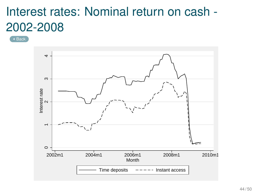# Interest rates: Nominal return on cash - 2002-2008

● [Back](#page-20-0)

<span id="page-53-0"></span>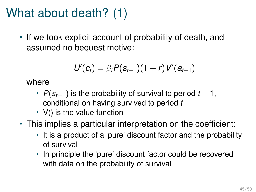# What about death? (1)

• If we took explicit account of probability of death, and assumed no bequest motive:

$$
U'(c_t) = \beta_i P(s_{t+1})(1+r)V'(a_{t+1})
$$

where

- $P(s_{t+1})$  is the probability of survival to period  $t+1$ , conditional on having survived to period *t*
- V() is the value function
- <span id="page-54-0"></span>• This implies a particular interpretation on the coefficient:
	- It is a product of a 'pure' discount factor and the probability of survival
	- In principle the 'pure' discount factor could be recovered with data on the probability of survival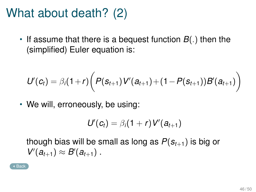### What about death? (2)

• If assume that there is a bequest function *B*(.) then the (simplified) Euler equation is:

$$
U'(c_t) = \beta_i(1+r) \bigg( P(s_{t+1}) V'(a_{t+1}) + (1 - P(s_{t+1})) B'(a_{t+1}) \bigg)
$$

• We will, erroneously, be using:

$$
U'(c_t)=\beta_i(1+r)V'(a_{t+1})
$$

though bias will be small as long as  $P(s_{t+1})$  is big or  $V'(a_{t+1}) \approx B'(a_{t+1})$ .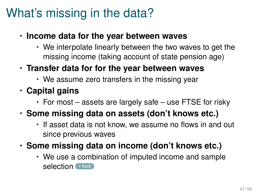# What's missing in the data?

- <span id="page-56-0"></span>• **Income data for the year between waves**
	- We interpolate linearly between the two waves to get the missing income (taking account of state pension age)
- **Transfer data for for the year between waves**
	- We assume zero transfers in the missing year
- **Capital gains**
	- For most assets are largely safe use FTSE for risky
- **Some missing data on assets (don't knows etc.)**
	- If asset data is not know, we assume no flows in and out since previous waves
- **Some missing data on income (don't knows etc.)**
	- We use a combination of imputed income and sample selection ([Back](#page-30-0))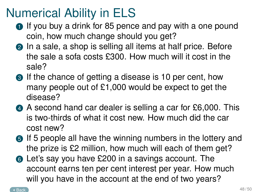## Numerical Ability in ELS

- <span id="page-57-0"></span>**1** If you buy a drink for 85 pence and pay with a one pound coin, how much change should you get?
- **2** In a sale, a shop is selling all items at half price. Before the sale a sofa costs £300. How much will it cost in the sale?
- **3** If the chance of getting a disease is 10 per cent, how many people out of  $£1,000$  would be expect to get the disease?
- <sup>4</sup> A second hand car dealer is selling a car for £6,000. This is two-thirds of what it cost new. How much did the car cost new?
- **6** If 5 people all have the winning numbers in the lottery and the prize is £2 million, how much will each of them get?
- <sup>6</sup> Let's say you have £200 in a savings account. The account earns ten per cent interest per year. How much will you have in the account at the end of two years?

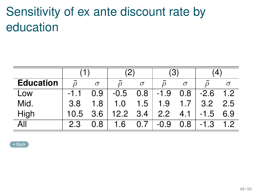# Sensitivity of ex ante discount rate by education

|                  |        |          | $\mathbf{2}^{\mathbf{c}}$ |          | 3      |          |        |     |
|------------------|--------|----------|---------------------------|----------|--------|----------|--------|-----|
| <b>Education</b> |        | $\sigma$ |                           | $\sigma$ |        | $\sigma$ |        |     |
| Low              | $-1.1$ | 0.9      | $-0.5$                    | 0.8      | $-1.9$ | 0.8      | $-2.6$ | 1.2 |
| Mid.             | 3.8    | 1.8      | 1.0                       | 1.5      | 1.9    |          | 3.2    | 2.5 |
| High             | 10.5   | 3.6      | 12.2 3.4                  |          | 2.2    | 4.1      | $-1.5$ | 6.9 |
| All              | 2.3    | 0.8      | 1.6                       | በ 7      | $-0.9$ | 0.8      | $-1.3$ | 1.2 |